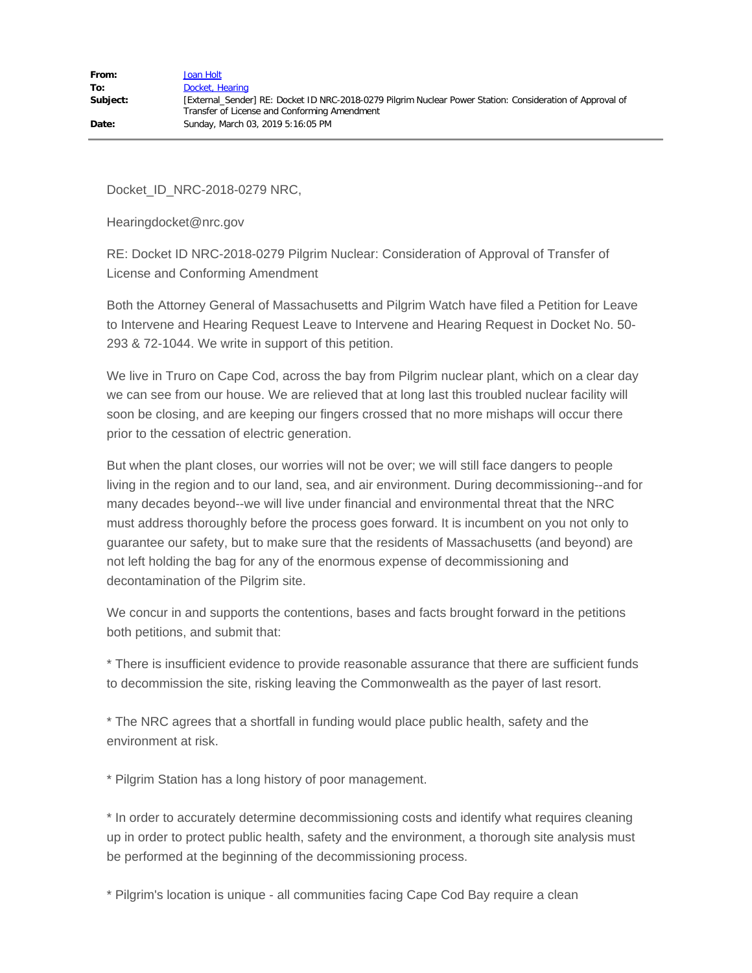Docket\_ID\_NRC-2018-0279 NRC,

Hearingdocket@nrc.gov

RE: Docket ID NRC-2018-0279 Pilgrim Nuclear: Consideration of Approval of Transfer of License and Conforming Amendment

Both the Attorney General of Massachusetts and Pilgrim Watch have filed a Petition for Leave to Intervene and Hearing Request Leave to Intervene and Hearing Request in Docket No. 50- 293 & 72-1044. We write in support of this petition.

We live in Truro on Cape Cod, across the bay from Pilgrim nuclear plant, which on a clear day we can see from our house. We are relieved that at long last this troubled nuclear facility will soon be closing, and are keeping our fingers crossed that no more mishaps will occur there prior to the cessation of electric generation.

But when the plant closes, our worries will not be over; we will still face dangers to people living in the region and to our land, sea, and air environment. During decommissioning--and for many decades beyond--we will live under financial and environmental threat that the NRC must address thoroughly before the process goes forward. It is incumbent on you not only to guarantee our safety, but to make sure that the residents of Massachusetts (and beyond) are not left holding the bag for any of the enormous expense of decommissioning and decontamination of the Pilgrim site.

We concur in and supports the contentions, bases and facts brought forward in the petitions both petitions, and submit that:

\* There is insufficient evidence to provide reasonable assurance that there are sufficient funds to decommission the site, risking leaving the Commonwealth as the payer of last resort.

\* The NRC agrees that a shortfall in funding would place public health, safety and the environment at risk.

\* Pilgrim Station has a long history of poor management.

\* In order to accurately determine decommissioning costs and identify what requires cleaning up in order to protect public health, safety and the environment, a thorough site analysis must be performed at the beginning of the decommissioning process.

\* Pilgrim's location is unique - all communities facing Cape Cod Bay require a clean